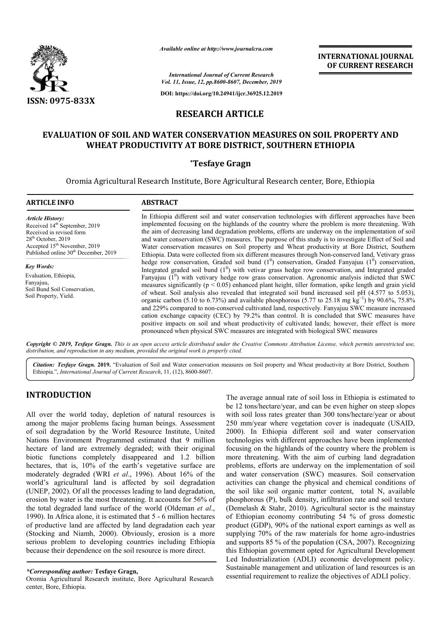

*Available online at http://www.journalcra.com*

**INTERNATIONAL JOURNAL OF CURRENT RESEARCH**

*International Journal of Current Research Vol. 11, Issue, 12, pp.8600-8607, December, 2019*

**DOI: https://doi.org/10.24941/ijcr.36925.12.2019**

## **RESEARCH ARTICLE**

## **EVALUATION OF SOIL AND WATER CONSERVATION MEASURES ON SOIL SOIL PROPERTY AND WHEAT PRODUCTIVITY AT BORE DISTRICT, SOUTHERN ETHIOPIA ETHIOPIA**

## **\*Tesfaye Gragn**

Oromia Agricultural Research Institute, Bore Agricultural Research center, Bore, Ethiopia

| <b>ARTICLE INFO</b>                                                                                                                                                                                                      | <b>ABSTRACT</b>                                                                                                                                                                                                                                                                                                                                                                                                                                                                                                                                                                                                                                                                                                                                                                                                                                                                                                                                                                                                                                        |
|--------------------------------------------------------------------------------------------------------------------------------------------------------------------------------------------------------------------------|--------------------------------------------------------------------------------------------------------------------------------------------------------------------------------------------------------------------------------------------------------------------------------------------------------------------------------------------------------------------------------------------------------------------------------------------------------------------------------------------------------------------------------------------------------------------------------------------------------------------------------------------------------------------------------------------------------------------------------------------------------------------------------------------------------------------------------------------------------------------------------------------------------------------------------------------------------------------------------------------------------------------------------------------------------|
| <b>Article History:</b><br>Received 14 <sup>th</sup> September, 2019<br>Received in revised form<br>$28th$ October, 2019<br>Accepted 15 <sup>th</sup> November, 2019<br>Published online 30 <sup>th</sup> December, 2019 | In Ethiopia different soil and water conservation technologies with different approaches have been<br>implemented focusing on the highlands of the country where the problem is more threatening. With<br>the aim of decreasing land degradation problems, efforts are underway on the implementation of soil<br>and water conservation (SWC) measures. The purpose of this study is to investigate Effect of Soil and<br>Water conservation measures on Soil property and Wheat productivity at Bore District, Southern<br>Ethiopia. Data were collected from six different measures through Non-conserved land, Vetivary grass                                                                                                                                                                                                                                                                                                                                                                                                                       |
| <b>Key Words:</b><br>Evaluation, Ethiopia,<br>Fanyajuu,<br>Soil Bund Soil Conservation,<br>Soil Property, Yield.                                                                                                         | hedge row conservation, Graded soil bund $(1^0)$ conservation, Graded Fanyajuu $(1^0)$ conservation,<br>Integrated graded soil bund $(10)$ with vetivar grass hedge row conservation, and Integrated graded<br>Fanyajuu $(1^0)$ with vetivary hedge row grass conservation. Agronomic analysis indicted that SWC<br>measures significantly ( $p < 0.05$ ) enhanced plant height, tiller formation, spike length and grain yield<br>of wheat. Soil analysis also revealed that integrated soil bund increased soil pH (4.577 to 5.053),<br>organic carbon (5.10 to 6.73%) and available phosphorous (5.77 to 25.18 mg kg <sup>-1</sup> ) by 90.6%, 75.8%<br>and 229% compared to non-conserved cultivated land, respectively. Fanyajuu SWC measure increased<br>cation exchange capacity (CEC) by 79.2% than control. It is concluded that SWC measures have<br>positive impacts on soil and wheat productivity of cultivated lands; however, their effect is more<br>pronounced when physical SWC measures are integrated with biological SWC measures |

Copyright © 2019, Tesfaye Gragn. This is an open access article distributed under the Creative Commons Attribution License, which permits unrestricted use, *distribution, and reproduction in any medium, provided the original work is properly cited.*

Citation: Tesfaye Gragn. 2019. "Evaluation of Soil and Water conservation measures on Soil property and Wheat productivity at Bore District, Southern Ethiopia.", *International Journal of Current Research* , 11, (12), 8600-8607.

# **INTRODUCTION**

All over the world today, depletion of natural resources is among the major problems facing human beings. Assessment of soil degradation by the World Resource Institute, United Nations Environment Programmed estimated that 9 million hectare of land are extremely degraded; with their original biotic functions completely disappeared and 1.2 billion hectares, that is, 10% of the earth's vegetative surface are moderately degraded (WRI *et al*., 1996). About 16% of the world's agricultural land is affected by soil degradation (UNEP, 2002). Of all the processes leading to land degradation, erosion by water is the most threatening. It accounts for 56% of the total degraded land surface of the world (Oldeman *et al*., 1990). In Africa alone, it is estimated that 5 - 6 million hectares of productive land are affected by land degradation each year (Stocking and Niamh, 2000). Obviously, erosion is a more serious problem to developing countries including Ethiopia because their dependence on the soil resource is more direct.

The average annual rate of soil loss in Ethiopia is estimated to be 12 tons/hectare/year, and can be even higher on steep slopes with soil loss rates greater than 300 tons/hectare/year or about 250 mm/year where vegetation cover is inadequate (USAID, 2000). In Ethiopia different soil and water conservation technologies with different approaches have been implemented focusing on the highlands of the country where the problem is more threatening. With the aim of curbing land degradation problems, efforts are underway on the implementation of soil and water conservation (SWC) measures. Soil conservation activities can change the physical and chemical conditions of the soil like soil organic matter content, total N, available phosphorous (P), bulk density, infiltration rate and soil texture (Demelash & Stahr, 2010). Agricultural sector is the mainstay of Ethiopian economy contributing 54 % of gross domestic product (GDP), 90% of the national export earnings as well as supplying 70% of the raw materials for home agro-industries and supports 85 % of the population (CSA, 2007). Recognizing this Ethiopian government opted for Agricultural Development Led Industrialization (ADLI) economic development policy. Sustainable management and utilization of land resources is an essential requirement to realize the objectives of ADLI policy.

*<sup>\*</sup>Corresponding author:* **Tesfaye Gragn,**

Oromia Agricultural Research institute, Bore Agricultural Research center, Bore, Ethiopia.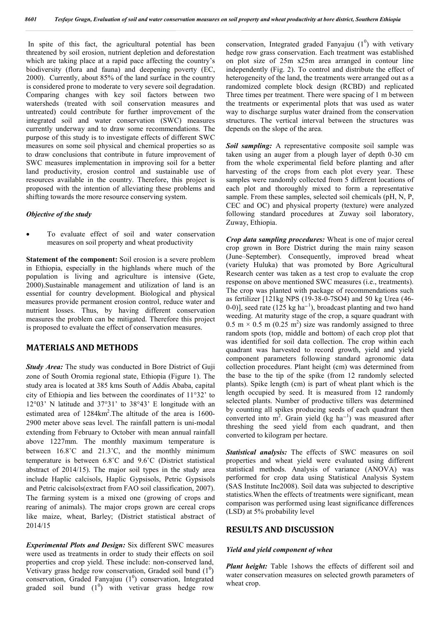In spite of this fact, the agricultural potential has been threatened by soil erosion, nutrient depletion and deforestation which are taking place at a rapid pace affecting the country's biodiversity (flora and fauna) and deepening poverty (EC, 2000). Currently, about 85% of the land surface in the country is considered prone to moderate to very severe soil degradation. Comparing changes with key soil factors between two watersheds (treated with soil conservation measures and untreated) could contribute for further improvement of the integrated soil and water conservation (SWC) measures currently underway and to draw some recommendations. The purpose of this study is to investigate effects of different SWC measures on some soil physical and chemical properties so as to draw conclusions that contribute in future improvement of SWC measures implementation in improving soil for a better land productivity, erosion control and sustainable use of resources available in the country. Therefore, this project is proposed with the intention of alleviating these problems and shifting towards the more resource conserving system.

#### *Objective of the study*

 To evaluate effect of soil and water conservation measures on soil property and wheat productivity

**Statement of the component:** Soil erosion is a severe problem in Ethiopia, especially in the highlands where much of the population is living and agriculture is intensive (Gete, 2000).Sustainable management and utilization of land is an essential for country development. Biological and physical measures provide permanent erosion control, reduce water and nutrient losses. Thus, by having different conservation measures the problem can be mitigated. Therefore this project is proposed to evaluate the effect of conservation measures.

### **MATERIALS AND METHODS**

*Study Area:* The study was conducted in Bore District of Guji zone of South Oromia regional state, Ethiopia (Figure 1). The study area is located at 385 kms South of Addis Ababa, capital city of Ethiopia and lies between the coordinates of 11°32' to 12°03' N latitude and 37°31' to 38°43' E longitude with an estimated area of  $1284 \text{km}^2$ . The altitude of the area is 1600-2900 meter above seas level. The rainfall pattern is uni-modal extending from February to October with mean annual rainfall above 1227mm. The monthly maximum temperature is between 16.8˚C and 21.3˚C, and the monthly minimum temperature is between 6.8˚C and 9.6˚C (District statistical abstract of 2014/15). The major soil types in the study area include Haplic calcisols, Haplic Gypsisols, Petric Gypsisols and Petric calcisols(extract from FAO soil classification, 2007). The farming system is a mixed one (growing of crops and rearing of animals). The major crops grown are cereal crops like maize, wheat, Barley; (District statistical abstract of 2014/15

*Experimental Plots and Design:* Six different SWC measures were used as treatments in order to study their effects on soil properties and crop yield. These include: non-conserved land, Vetivary grass hedge row conservation, Graded soil bund  $(1^0)$ conservation, Graded Fanyajuu  $(1^0)$  conservation, Integrated graded soil bund  $(1^0)$  with vetivar grass hedge row

conservation, Integrated graded Fanyajuu  $(1^0)$  with vetivary hedge row grass conservation. Each treatment was established on plot size of 25m x25m area arranged in contour line independently (Fig. 2). To control and distribute the effect of heterogeneity of the land, the treatments were arranged out as a randomized complete block design (RCBD) and replicated Three times per treatment. There were spacing of 1 m between the treatments or experimental plots that was used as water way to discharge surplus water drained from the conservation structures. The vertical interval between the structures was depends on the slope of the area.

*Soil sampling:* A representative composite soil sample was taken using an auger from a plough layer of depth 0-30 cm from the whole experimental field before planting and after harvesting of the crops from each plot every year. These samples were randomly collected from 5 different locations of each plot and thoroughly mixed to form a representative sample. From these samples, selected soil chemicals (pH, N, P, CEC and OC) and physical property (texture) were analyzed following standard procedures at Zuway soil laboratory, Zuway, Ethiopia.

*Crop data sampling procedures:* Wheat is one of major cereal crop grown in Bore District during the main rainy season (June–September). Consequently, improved bread wheat (variety Huluka) that was promoted by Bore Agricultural Research center was taken as a test crop to evaluate the crop response on above mentioned SWC measures (i.e., treatments). The crop was planted with package of recommendations such as fertilizer [121kg NPS (19-38-0-7SO4) and 50 kg Urea (46- 0-0)], seed rate (125 kg ha<sup>-1</sup>), broadcast planting and two hand weeding. At maturity stage of the crop, a square quadrant with  $0.5 \text{ m} \times 0.5 \text{ m} (0.25 \text{ m}^2)$  size was randomly assigned to three random spots (top, middle and bottom) of each crop plot that was identified for soil data collection. The crop within each quadrant was harvested to record growth, yield and yield component parameters following standard agronomic data collection procedures. Plant height (cm) was determined from the base to the tip of the spike (from 12 randomly selected plants). Spike length (cm) is part of wheat plant which is the length occupied by seed. It is measured from 12 randomly selected plants. Number of productive tillers was determined by counting all spikes producing seeds of each quadrant then converted into m<sup>2</sup>. Grain yield (kg ha<sup>-1</sup>) was measured after threshing the seed yield from each quadrant, and then converted to kilogram per hectare.

*Statistical analysis:* The effects of SWC measures on soil properties and wheat yield were evaluated using different statistical methods. Analysis of variance (ANOVA) was performed for crop data using Statistical Analysis System (SAS Institute Inc2008). Soil data was subjected to descriptive statistics.When the effects of treatments were significant, mean comparison was performed using least significance differences (LSD) at 5% probability level

### **RESULTS AND DISCUSSION**

#### *Yield and yield component of whea*

*Plant height:* Table 1shows the effects of different soil and water conservation measures on selected growth parameters of wheat crop.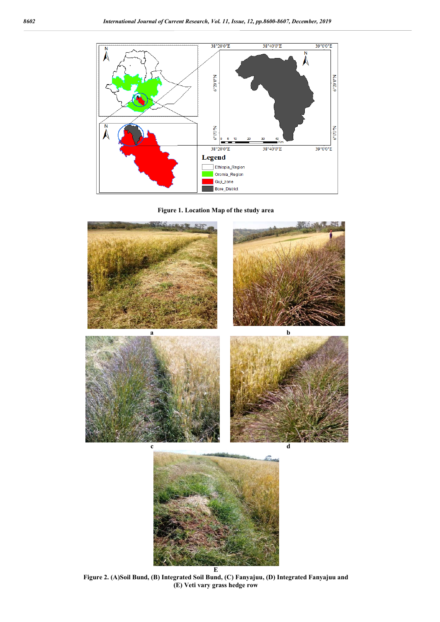





**Figure 2. (A)Soil Bund, (B) Integrated Soil Bund, (C) Fanyajuu, (D) Integrated Fanyajuu and (E) Veti vary grass hedge row**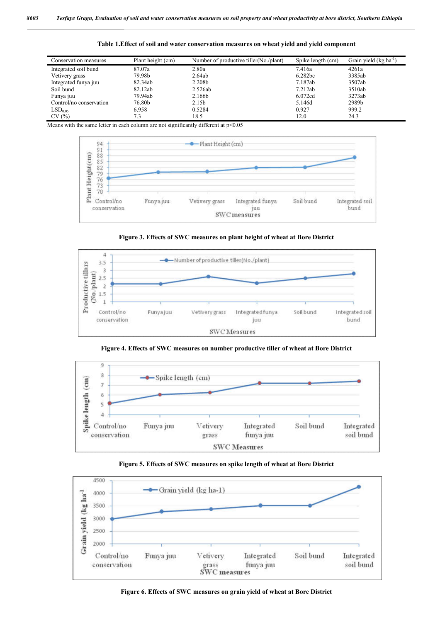| Conservation measures   | Plant height (cm) | Number of productive tiller (No./plant) | Spike length (cm) | Grain yield (kg ha <sup>-1</sup> ) |
|-------------------------|-------------------|-----------------------------------------|-------------------|------------------------------------|
| Integrated soil bund    | 87.07a            | 2.80a                                   | 7.416a            | 4261a                              |
| Vetivery grass          | 79.98b            | 2.64ab                                  | 6.282bc           | 3385ab                             |
| Integrated funya juu    | 82.34ab           | 2.208 <sub>b</sub>                      | 7.187ab           | 3507ab                             |
| Soil bund               | 82.12ab           | 2.526ab                                 | 7.212ab           | 3510ab                             |
| Funya juu               | 79.94ab           | 2.166b                                  | 6.072cd           | 3273ab                             |
| Control/no conservation | 76.80b            | 2.15 <sub>b</sub>                       | 5.146d            | 2989b                              |
| LSD <sub>0.05</sub>     | 6.958             | 0.5284                                  | 0.927             | 999.2                              |
| CV(%)                   | 7.3               | 18.5                                    | 12.0              | 24.3                               |

**Table 1.Effect of soil and water conservation measures on wheat yield and yield component**

Means with the same letter in each column are not significantly different at  $p<0.05$ 



**Figure 3. Effects of SWC measures on plant height of wheat at Bore District**



**Figure 4. Effects of SWC measures on number productive tiller of wheat at Bore District**







**Figure 6. Effects of SWC measures on grain yield of wheat at Bore District**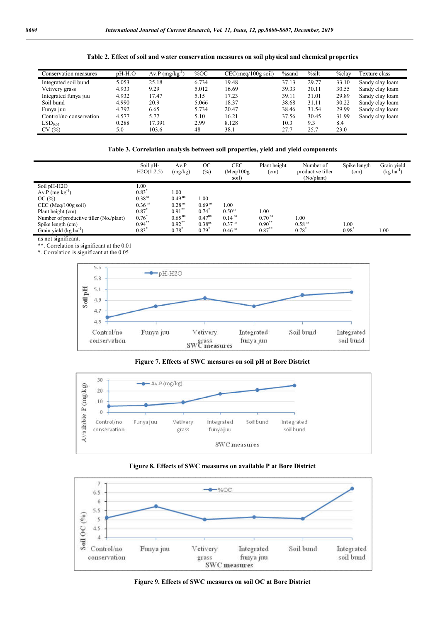| Table 2. Effect of soil and water conservation measures on soil physical and chemical properties |  |  |  |  |  |  |  |  |  |  |  |  |  |  |
|--------------------------------------------------------------------------------------------------|--|--|--|--|--|--|--|--|--|--|--|--|--|--|
|--------------------------------------------------------------------------------------------------|--|--|--|--|--|--|--|--|--|--|--|--|--|--|

| Conservation measures   | $pH-H2O$ | $Av.P (mg/kg^{-1})$ | %OC   | CEC(meq/100g soil) | $\%$ sand | $\%$ silt | $%$ clay | Texture class   |
|-------------------------|----------|---------------------|-------|--------------------|-----------|-----------|----------|-----------------|
| Integrated soil bund    | 5.053    | 25.18               | 6.734 | 19.48              | 37.13     | 29.77     | 33.10    | Sandy clay loam |
| Vetivery grass          | 4.933    | 9.29                | 5.012 | 16.69              | 39.33     | 30.11     | 30.55    | Sandy clay loam |
| Integrated funya juu    | 4.932    | 17.47               | 5.15  | 17.23              | 39.11     | 31.01     | 29.89    | Sandy clay loam |
| Soil bund               | 4.990    | 20.9                | 5.066 | 18.37              | 38.68     | 31.11     | 30.22    | Sandy clay loam |
| Funya juu               | 4.792    | 6.65                | 5.734 | 20.47              | 38.46     | 31.54     | 29.99    | Sandy clay loam |
| Control/no conservation | 4.577    | 5.77                | 5.10  | 16.21              | 37.56     | 30.45     | 31.99    | Sandy clay loam |
| LSD <sub>0.05</sub>     | 0.288    | 17.391              | 2.99  | 8.128              | 10.3      | 9.3       | 8.4      |                 |
| CV(%)                   | 5.0      | 103.6               | 48    | 38.1               | 27.7      | 25.7      | 23.0     |                 |

**Table 3. Correlation analysis between soil properties, yield and yield components**

|                                         | Soil pH-<br>H2O(1:2.5) | Av.P<br>(mg/kg)      | <b>OC</b><br>$(\%)$ | <b>CEC</b><br>(Meq/100g) | Plant height<br>(cm) | Number of<br>productive tiller | Spike length<br>(cm) | Grain yield<br>$(kg ha^{-1})$ |
|-----------------------------------------|------------------------|----------------------|---------------------|--------------------------|----------------------|--------------------------------|----------------------|-------------------------------|
|                                         |                        |                      |                     | soil)                    |                      | (No/plant)                     |                      |                               |
| Soil pH-H2O                             | 1.00                   |                      |                     |                          |                      |                                |                      |                               |
| $Av.P (mg kg^{-1})$                     | 0.83                   | 0.001                |                     |                          |                      |                                |                      |                               |
| OC $(\%)$                               | 0.38 <sup>ns</sup>     | $0.49$ <sup>ns</sup> | 1.00                |                          |                      |                                |                      |                               |
| $CEC$ (Meg/100g soil)                   | $0.36$ <sup>ns</sup>   | 0.28 <sup>ns</sup>   | 0.69 <sup>ns</sup>  | 1.00                     |                      |                                |                      |                               |
| Plant height (cm)                       | 0.87                   | $0.91$ **            | 0.74                | 0.50 <sup>ns</sup>       | 1.00                 |                                |                      |                               |
| Number of productive tiller (No./plant) | 0.76                   | $0.65$ <sup>ns</sup> | $0.47^{ns}$         | $0.14$ <sup>ns</sup>     | $0.70$ <sup>ns</sup> | 1.00                           |                      |                               |
| Spike length (cm)                       | $0.94$ **              | $0.92$ **            | 0.38 <sup>ns</sup>  | 0.37 <sup>ns</sup>       | $0.90***$            | $0.58$ <sup>ns</sup>           | 1.00                 |                               |
| Grain yield (kg ha <sup>-1</sup> )      | 0.83                   | 0.78                 | $0.79$ <sup>2</sup> | $0.46$ <sup>ns</sup>     | $0.87***$            | 0.78                           | 0.98                 | 00.1                          |

ns not significant.

\*\*. Correlation is significant at the 0.01

\*. Correlation is significant at the 0.05



### **Figure 7. Effects of SWC measures on soil pH at Bore District**







**Figure 9. Effects of SWC measures on soil OC at Bore District**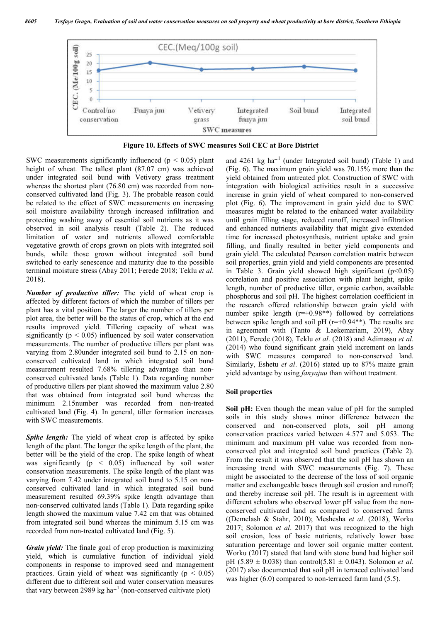

**Figure 10. Effects of SWC measures Soil CEC at Bore District**

SWC measurements significantly influenced ( $p < 0.05$ ) plant height of wheat. The tallest plant (87.07 cm) was achieved under integrated soil bund with Vetivery grass treatment whereas the shortest plant (76.80 cm) was recorded from nonconserved cultivated land (Fig. 3). The probable reason could be related to the effect of SWC measurements on increasing soil moisture availability through increased infiltration and protecting washing away of essential soil nutrients as it was observed in soil analysis result (Table 2). The reduced limitation of water and nutrients allowed comfortable vegetative growth of crops grown on plots with integrated soil bunds, while those grown without integrated soil bund switched to early senescence and maturity due to the possible terminal moisture stress (Abay 2011; Ferede 2018; Teklu *et al*. 2018).

*Number of productive tiller:* The yield of wheat crop is affected by different factors of which the number of tillers per plant has a vital position. The larger the number of tillers per plot area, the better will be the status of crop, which at the end results improved yield. Tillering capacity of wheat was significantly ( $p < 0.05$ ) influenced by soil water conservation measurements. The number of productive tillers per plant was varying from 2.80under integrated soil bund to 2.15 on nonconserved cultivated land in which integrated soil bund measurement resulted 7.68% tillering advantage than nonconserved cultivated lands (Table 1). Data regarding number of productive tillers per plant showed the maximum value 2.80 that was obtained from integrated soil bund whereas the minimum 2.15number was recorded from non-treated cultivated land (Fig. 4). In general, tiller formation increases with SWC measurements.

*Spike length:* The yield of wheat crop is affected by spike length of the plant. The longer the spike length of the plant, the better will be the yield of the crop. The spike length of wheat was significantly ( $p \leq 0.05$ ) influenced by soil water conservation measurements. The spike length of the plant was varying from 7.42 under integrated soil bund to 5.15 on nonconserved cultivated land in which integrated soil bund measurement resulted 69.39% spike length advantage than non-conserved cultivated lands (Table 1). Data regarding spike length showed the maximum value 7.42 cm that was obtained from integrated soil bund whereas the minimum 5.15 cm was recorded from non-treated cultivated land (Fig. 5).

*Grain yield:* The finale goal of crop production is maximizing yield, which is cumulative function of individual yield components in response to improved seed and management practices. Grain yield of wheat was significantly ( $p < 0.05$ ) different due to different soil and water conservation measures that vary between 2989 kg ha<sup>-1</sup> (non-conserved cultivate plot)

and 4261 kg ha<sup>-1</sup> (under Integrated soil bund) (Table 1) and (Fig. 6). The maximum grain yield was 70.15% more than the yield obtained from untreated plot. Construction of SWC with integration with biological activities result in a successive increase in grain yield of wheat compared to non-conserved plot (Fig. 6). The improvement in grain yield due to SWC measures might be related to the enhanced water availability until grain filling stage, reduced runoff, increased infiltration and enhanced nutrients availability that might give extended time for increased photosynthesis, nutrient uptake and grain filling, and finally resulted in better yield components and grain yield. The calculated Pearson correlation matrix between soil properties, grain yield and yield components are presented in Table 3. Grain yield showed high significant  $(p<0.05)$ correlation and positive association with plant height, spike length, number of productive tiller, organic carbon, available phosphorus and soil pH. The highest correlation coefficient in the research offered relationship between grain yield with number spike length  $(r=+0.98**)$  followed by correlations between spike length and soil pH  $(r=+0.94**)$ . The results are in agreement with (Tanto & Laekemariam, 2019), Abay (2011), Ferede (2018), Teklu *et al*. (2018) and Adimassu *et al*. (2014) who found significant grain yield increment on lands with SWC measures compared to non-conserved land. Similarly, Eshetu *et al*. (2016) stated up to 87% maize grain yield advantage by using *fanyajuu* than without treatment.

### **Soil properties**

**Soil pH:** Even though the mean value of pH for the sampled soils in this study shows minor difference between the conserved and non-conserved plots, soil pH among conservation practices varied between 4.577 and 5.053. The minimum and maximum pH value was recorded from nonconserved plot and integrated soil bund practices (Table 2). From the result it was observed that the soil pH has shown an increasing trend with SWC measurements (Fig. 7). These might be associated to the decrease of the loss of soil organic matter and exchangeable bases through soil erosion and runoff; and thereby increase soil pH. The result is in agreement with different scholars who observed lower pH value from the nonconserved cultivated land as compared to conserved farms ((Demelash & Stahr, 2010); Meshesha *et al*. (2018), Worku 2017; Solomon *et al*. 2017) that was recognized to the high soil erosion, loss of basic nutrients, relatively lower base saturation percentage and lower soil organic matter content. Worku (2017) stated that land with stone bund had higher soil pH (5.89  $\pm$  0.038) than control(5.81  $\pm$  0.043). Solomon *et al*. (2017) also documented that soil pH in terraced cultivated land was higher (6.0) compared to non-terraced farm land (5.5).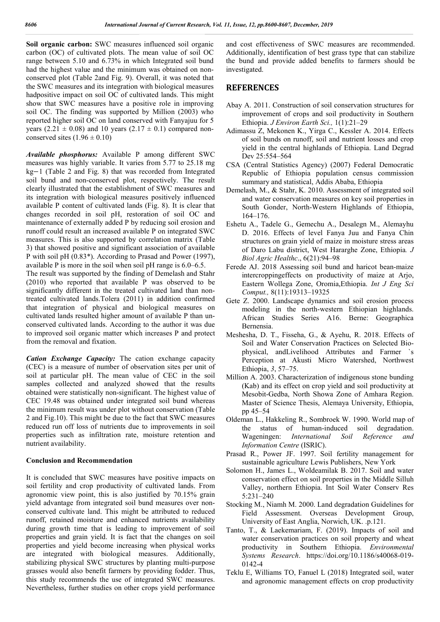**Soil organic carbon:** SWC measures influenced soil organic carbon (OC) of cultivated plots. The mean value of soil OC range between 5.10 and 6.73% in which Integrated soil bund had the highest value and the minimum was obtained on nonconserved plot (Table 2and Fig. 9). Overall, it was noted that the SWC measures and its integration with biological measures hadpositive impact on soil OC of cultivated lands. This might show that SWC measures have a positive role in improving soil OC. The finding was supported by Million (2003) who reported higher soil OC on land conserved with Fanyajuu for 5 years (2.21  $\pm$  0.08) and 10 years (2.17  $\pm$  0.1) compared nonconserved sites  $(1.96 \pm 0.10)$ 

*Available phosphorus:* Available P among different SWC measures was highly variable. It varies from 5.77 to 25.18 mg kg−1 (Table 2 and Fig. 8) that was recorded from Integrated soil bund and non-conserved plot, respectively. The result clearly illustrated that the establishment of SWC measures and its integration with biological measures positively influenced available P content of cultivated lands (Fig. 8). It is clear that changes recorded in soil pH, restoration of soil OC and maintenance of externally added P by reducing soil erosion and runoff could result an increased available P on integrated SWC measures. This is also supported by correlation matrix (Table 3) that showed positive and significant association of available P with soil pH (0.83\*). According to Prasad and Power (1997), available P is more in the soil when soil pH range is 6.0–6.5.

The result was supported by the finding of Demelash and Stahr (2010) who reported that available P was observed to be significantly different in the treated cultivated land than nontreated cultivated lands.Tolera (2011) in addition confirmed that integration of physical and biological measures on cultivated lands resulted higher amount of available P than unconserved cultivated lands. According to the author it was due to improved soil organic matter which increases P and protect from the removal and fixation.

*Cation Exchange Capacity:* The cation exchange capacity (CEC) is a measure of number of observation sites per unit of soil at particular pH. The mean value of CEC in the soil samples collected and analyzed showed that the results obtained were statistically non-significant. The highest value of CEC 19.48 was obtained under integrated soil bund whereas the minimum result was under plot without conservation (Table 2 and Fig.10). This might be due to the fact that SWC measures reduced run off loss of nutrients due to improvements in soil properties such as infiltration rate, moisture retention and nutrient availability.

### **Conclusion and Recommendation**

It is concluded that SWC measures have positive impacts on soil fertility and crop productivity of cultivated lands. From agronomic view point, this is also justified by 70.15% grain yield advantage from integrated soil bund measures over nonconserved cultivate land. This might be attributed to reduced runoff, retained moisture and enhanced nutrients availability during growth time that is leading to improvement of soil properties and grain yield. It is fact that the changes on soil properties and yield become increasing when physical works are integrated with biological measures. Additionally, stabilizing physical SWC structures by planting multi-purpose grasses would also benefit farmers by providing fodder. Thus, this study recommends the use of integrated SWC measures. Nevertheless, further studies on other crops yield performance

and cost effectiveness of SWC measures are recommended. Additionally, identification of best grass type that can stabilize the bund and provide added benefits to farmers should be investigated.

### **REFERENCES**

- Abay A. 2011. Construction of soil conservation structures for improvement of crops and soil productivity in Southern Ethiopia. *J Environ Earth Sci.,* 1(1):21–29
- Adimassu Z, Mekonen K., Yirga C., Kessler A. 2014. Effects of soil bunds on runoff, soil and nutrient losses and crop yield in the central highlands of Ethiopia. Land Degrad Dev 25:554–564
- CSA (Central Statistics Agency) (2007) Federal Democratic Republic of Ethiopia population census commission summary and statistical, Addis Ababa, Ethiopia
- Demelash, M., & Stahr, K. 2010. Assessment of integrated soil and water conservation measures on key soil properties in South Gonder, North-Western Highlands of Ethiopia, 164–176.
- Eshetu A., Tadele G., Gemechu A., Desalegn M., Alemayhu D. 2016. Effects of level Fanya Juu and Fanya Chin structures on grain yield of maize in moisture stress areas of Daro Labu district, West Hararghe Zone, Ethiopia*. J Biol Agric Healthc*., 6(21):94–98
- Ferede AJ. 2018 Assessing soil bund and haricot bean-maize intercroppingeffects on productivity of maize at Arjo, Eastern Wollega Zone, Oromia,Ethiopia. *Int J Eng Sci Comput.,* 8(11):19313–19325
- Gete Z. 2000. Landscape dynamics and soil erosion process modeling in the north-western Ethiopian highlands. African Studies Series A16. Berne: Geographica Bernensia.
- Meshesha, D. T., Fisseha, G., & Ayehu, R. 2018. Effects of Soil and Water Conservation Practices on Selected Biophysical, andLivelihood Attributes and Farmer `s Perception at Akusti Micro Watershed, Northwest Ethiopia, *3*, 57–75.
- Million A. 2003. Characterization of indigenous stone bunding (Kab) and its effect on crop yield and soil productivity at Mesobit-Gedba, North Showa Zone of Amhara Region. Master of Science Thesis, Alemaya University, Ethiopia, pp 45–54
- Oldeman L., Hakkeling R., Sombroek W. 1990. World map of the status of human-induced soil degradation. Wageningen: *International Soil Reference and Information Centre* (ISRIC).
- Prasad R., Power JF. 1997. Soil fertility management for sustainable agriculture Lewis Publishers, New York
- Solomon H., James L., Woldeamilak B. 2017. Soil and water conservation effect on soil properties in the Middle Silluh Valley, northern Ethiopia. Int Soil Water Conserv Res 5:231–240
- Stocking M., Niamh M. 2000. Land degradation Guidelines for Field Assessment. Overseas Development Group, University of East Anglia, Norwich, UK. .p.121.
- Tanto, T., & Laekemariam, F. (2019). Impacts of soil and water conservation practices on soil property and wheat productivity in Southern Ethiopia. *Environmental Systems Research*. https://doi.org/10.1186/s40068-019- 0142-4
- Teklu E, Williams TO, Fanuel L (2018) Integrated soil, water and agronomic management effects on crop productivity